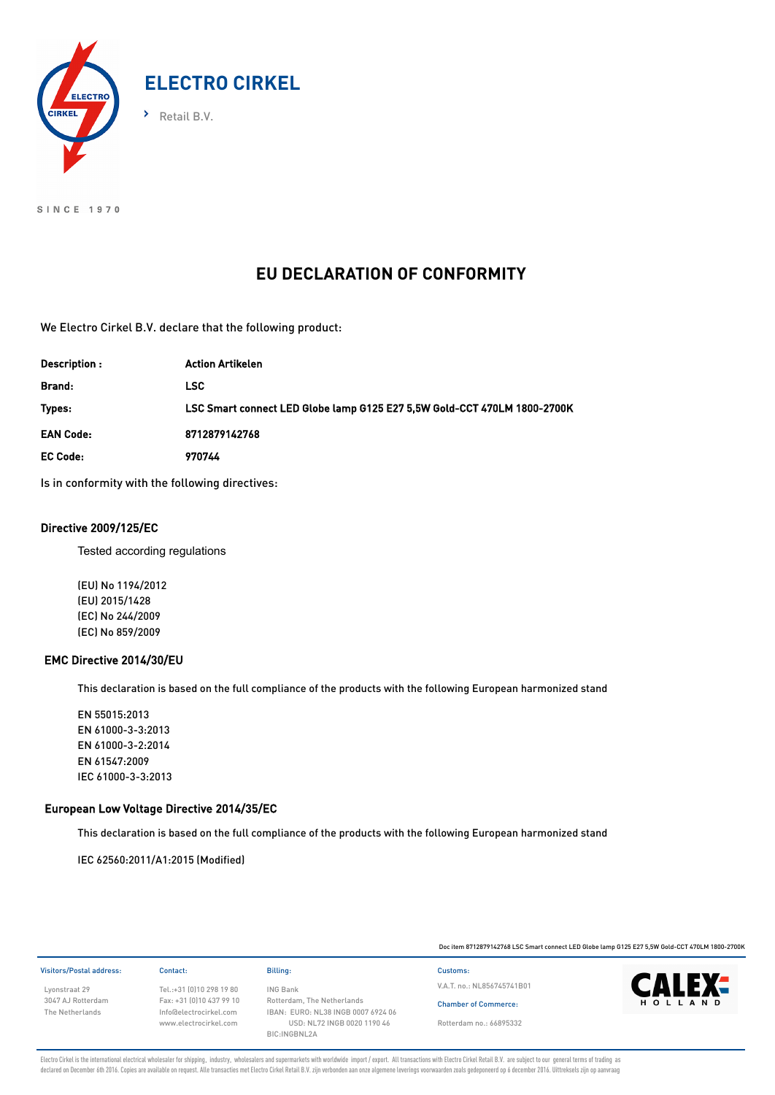

SINCE 1970

# **EU DECLARATION OF CONFORMITY**

We Electro Cirkel B.V. declare that the following product:

| Description:     | <b>Action Artikelen</b>                                                  |
|------------------|--------------------------------------------------------------------------|
| Brand:           | LSC.                                                                     |
| Types:           | LSC Smart connect LED Globe lamp G125 E27 5.5W Gold-CCT 470LM 1800-2700K |
| <b>EAN Code:</b> | 8712879142768                                                            |
| <b>EC Code:</b>  | 970744                                                                   |

Is in conformity with the following directives:

## Directive 2009/125/EC

Tested according regulations

(EU) No 1194/2012 (EU) 2015/1428 (EC) No 244/2009 (EC) No 859/2009

### EMC Directive 2014/30/EU

This declaration is based on the full compliance of the products with the following European harmonized stand

EN 55015:2013 EN 61000-3-3:2013 EN 61000-3-2:2014 EN 61547:2009 IEC 61000-3-3:2013

### European Low Voltage Directive 2014/35/EC

This declaration is based on the full compliance of the products with the following European harmonized stand

IEC 62560:2011/A1:2015 (Modified)

Doc item 8712879142768 LSC Smart connect LED Globe lamp G125 E27 5,5W Gold-CCT 470LM 1800-2700K Visitors/Postal address: Contact: Billing: Customs: Lyonstraat 29 3047 AJ Rotterdam The Netherlands Tel.:+31 (0)10 298 19 80 Fax: +31 (0)10 437 99 10 Info@electrocirkel.com www.electrocirkel.com ING Bank Rotterdam, The Netherlands IBAN: EURO: NL38 INGB 0007 6924 06 USD: NL72 INGB 0020 1190 46 BIC:INGBNL2A Chamber of Commerce: V.A.T. no.: NL856745741B01 Rotterdam no.: 66895332

Electro Cirkel is the international electrical wholesaler for shipping, industry, wholesalers and supermarkets with worldwide import / export. All transactions with Electro Cirkel Retail B.V. are subject to our general ter declared on December 6th 2016. Copies are available on request. Alle transacties met Electro Cirkel Retail B.V. zijn verbonden aan onze algemene leverings voorwaarden zoals gedeponeerd op 6 december 2016. Uittreksels zijn